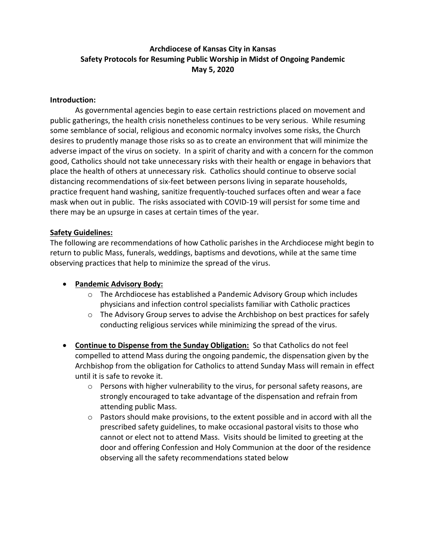# **Archdiocese of Kansas City in Kansas Safety Protocols for Resuming Public Worship in Midst of Ongoing Pandemic May 5, 2020**

### **Introduction:**

As governmental agencies begin to ease certain restrictions placed on movement and public gatherings, the health crisis nonetheless continues to be very serious. While resuming some semblance of social, religious and economic normalcy involves some risks, the Church desires to prudently manage those risks so as to create an environment that will minimize the adverse impact of the virus on society. In a spirit of charity and with a concern for the common good, Catholics should not take unnecessary risks with their health or engage in behaviors that place the health of others at unnecessary risk. Catholics should continue to observe social distancing recommendations of six-feet between persons living in separate households, practice frequent hand washing, sanitize frequently-touched surfaces often and wear a face mask when out in public. The risks associated with COVID-19 will persist for some time and there may be an upsurge in cases at certain times of the year.

#### **Safety Guidelines:**

The following are recommendations of how Catholic parishes in the Archdiocese might begin to return to public Mass, funerals, weddings, baptisms and devotions, while at the same time observing practices that help to minimize the spread of the virus.

### **Pandemic Advisory Body:**

- o The Archdiocese has established a Pandemic Advisory Group which includes physicians and infection control specialists familiar with Catholic practices
- $\circ$  The Advisory Group serves to advise the Archbishop on best practices for safely conducting religious services while minimizing the spread of the virus.
- **Continue to Dispense from the Sunday Obligation:** So that Catholics do not feel compelled to attend Mass during the ongoing pandemic, the dispensation given by the Archbishop from the obligation for Catholics to attend Sunday Mass will remain in effect until it is safe to revoke it.
	- o Persons with higher vulnerability to the virus, for personal safety reasons, are strongly encouraged to take advantage of the dispensation and refrain from attending public Mass.
	- $\circ$  Pastors should make provisions, to the extent possible and in accord with all the prescribed safety guidelines, to make occasional pastoral visits to those who cannot or elect not to attend Mass. Visits should be limited to greeting at the door and offering Confession and Holy Communion at the door of the residence observing all the safety recommendations stated below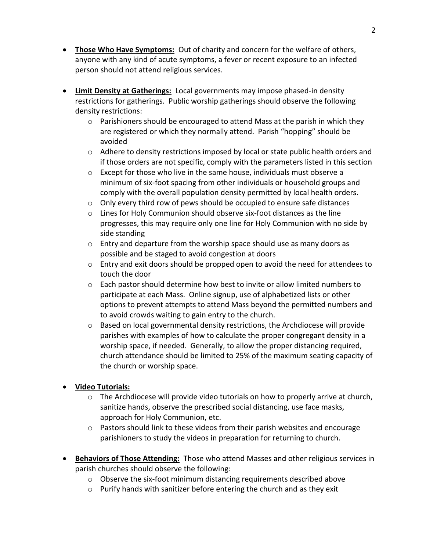- **Those Who Have Symptoms:** Out of charity and concern for the welfare of others, anyone with any kind of acute symptoms, a fever or recent exposure to an infected person should not attend religious services.
- **Limit Density at Gatherings:** Local governments may impose phased-in density restrictions for gatherings. Public worship gatherings should observe the following density restrictions:
	- $\circ$  Parishioners should be encouraged to attend Mass at the parish in which they are registered or which they normally attend. Parish "hopping" should be avoided
	- $\circ$  Adhere to density restrictions imposed by local or state public health orders and if those orders are not specific, comply with the parameters listed in this section
	- o Except for those who live in the same house, individuals must observe a minimum of six-foot spacing from other individuals or household groups and comply with the overall population density permitted by local health orders.
	- o Only every third row of pews should be occupied to ensure safe distances
	- $\circ$  Lines for Holy Communion should observe six-foot distances as the line progresses, this may require only one line for Holy Communion with no side by side standing
	- $\circ$  Entry and departure from the worship space should use as many doors as possible and be staged to avoid congestion at doors
	- o Entry and exit doors should be propped open to avoid the need for attendees to touch the door
	- $\circ$  Each pastor should determine how best to invite or allow limited numbers to participate at each Mass. Online signup, use of alphabetized lists or other options to prevent attempts to attend Mass beyond the permitted numbers and to avoid crowds waiting to gain entry to the church.
	- o Based on local governmental density restrictions, the Archdiocese will provide parishes with examples of how to calculate the proper congregant density in a worship space, if needed. Generally, to allow the proper distancing required, church attendance should be limited to 25% of the maximum seating capacity of the church or worship space.
- **Video Tutorials:**
	- $\circ$  The Archdiocese will provide video tutorials on how to properly arrive at church, sanitize hands, observe the prescribed social distancing, use face masks, approach for Holy Communion, etc.
	- $\circ$  Pastors should link to these videos from their parish websites and encourage parishioners to study the videos in preparation for returning to church.
- **Behaviors of Those Attending:** Those who attend Masses and other religious services in parish churches should observe the following:
	- $\circ$  Observe the six-foot minimum distancing requirements described above
	- o Purify hands with sanitizer before entering the church and as they exit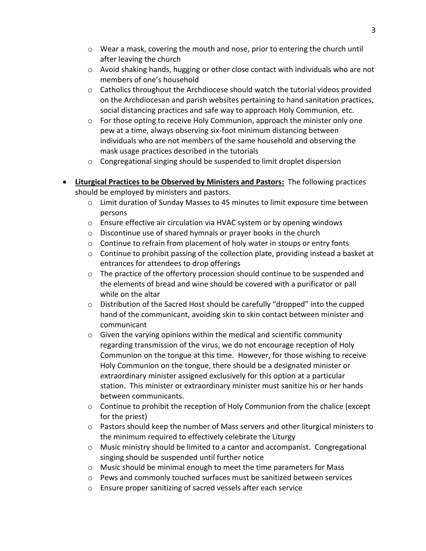- o Wear a mask, covering the mouth and nose, prior to entering the church until after leaving the church
- $\circ$  Avoid shaking hands, hugging or other close contact with individuals who are not members of one's household
- $\circ$  Catholics throughout the Archdiocese should watch the tutorial videos provided on the Archdiocesan and parish websites pertaining to hand sanitation practices, social distancing practices and safe way to approach Holy Communion, etc.
- $\circ$  For those opting to receive Holy Communion, approach the minister only one pew at a time, always observing six-foot minimum distancing between individuals who are not members of the same household and observing the mask usage practices described in the tutorials
- o Congregational singing should be suspended to limit droplet dispersion
- **Liturgical Practices to be Observed by Ministers and Pastors:** The following practices should be employed by ministers and pastors.
	- o Limit duration of Sunday Masses to 45 minutes to limit exposure time between persons
	- o Ensure effective air circulation via HVAC system or by opening windows
	- o Discontinue use of shared hymnals or prayer books in the church
	- $\circ$  Continue to refrain from placement of holy water in stoups or entry fonts
	- $\circ$  Continue to prohibit passing of the collection plate, providing instead a basket at entrances for attendees to drop offerings
	- $\circ$  The practice of the offertory procession should continue to be suspended and the elements of bread and wine should be covered with a purificator or pall while on the altar
	- $\circ$  Distribution of the Sacred Host should be carefully "dropped" into the cupped hand of the communicant, avoiding skin to skin contact between minister and communicant
	- o Given the varying opinions within the medical and scientific community regarding transmission of the virus, we do not encourage reception of Holy Communion on the tongue at this time. However, for those wishing to receive Holy Communion on the tongue, there should be a designated minister or extraordinary minister assigned exclusively for this option at a particular station. This minister or extraordinary minister must sanitize his or her hands between communicants.
	- $\circ$  Continue to prohibit the reception of Holy Communion from the chalice (except for the priest)
	- $\circ$  Pastors should keep the number of Mass servers and other liturgical ministers to the minimum required to effectively celebrate the Liturgy
	- o Music ministry should be limited to a cantor and accompanist. Congregational singing should be suspended until further notice
	- o Music should be minimal enough to meet the time parameters for Mass
	- $\circ$  Pews and commonly touched surfaces must be sanitized between services
	- o Ensure proper sanitizing of sacred vessels after each service